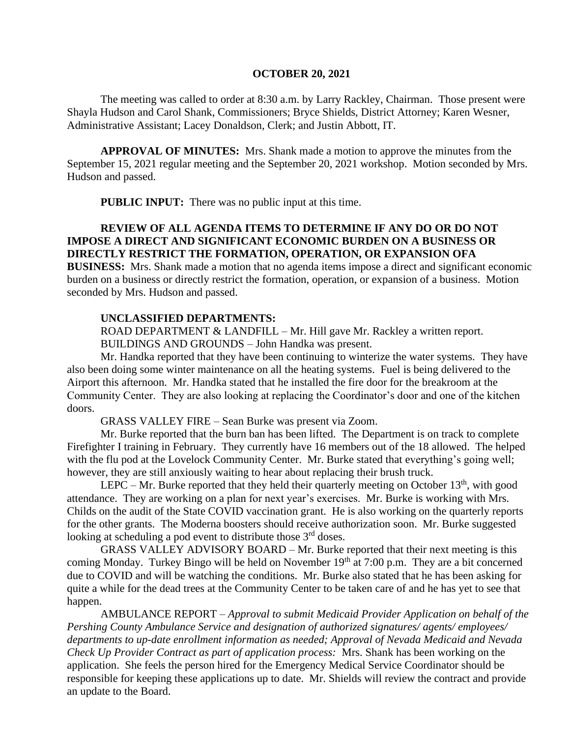#### **OCTOBER 20, 2021**

The meeting was called to order at 8:30 a.m. by Larry Rackley, Chairman. Those present were Shayla Hudson and Carol Shank, Commissioners; Bryce Shields, District Attorney; Karen Wesner, Administrative Assistant; Lacey Donaldson, Clerk; and Justin Abbott, IT.

**APPROVAL OF MINUTES:** Mrs. Shank made a motion to approve the minutes from the September 15, 2021 regular meeting and the September 20, 2021 workshop. Motion seconded by Mrs. Hudson and passed.

**PUBLIC INPUT:** There was no public input at this time.

## **REVIEW OF ALL AGENDA ITEMS TO DETERMINE IF ANY DO OR DO NOT IMPOSE A DIRECT AND SIGNIFICANT ECONOMIC BURDEN ON A BUSINESS OR DIRECTLY RESTRICT THE FORMATION, OPERATION, OR EXPANSION OFA**

**BUSINESS:** Mrs. Shank made a motion that no agenda items impose a direct and significant economic burden on a business or directly restrict the formation, operation, or expansion of a business. Motion seconded by Mrs. Hudson and passed.

#### **UNCLASSIFIED DEPARTMENTS:**

ROAD DEPARTMENT & LANDFILL – Mr. Hill gave Mr. Rackley a written report. BUILDINGS AND GROUNDS – John Handka was present.

Mr. Handka reported that they have been continuing to winterize the water systems. They have also been doing some winter maintenance on all the heating systems. Fuel is being delivered to the Airport this afternoon. Mr. Handka stated that he installed the fire door for the breakroom at the Community Center. They are also looking at replacing the Coordinator's door and one of the kitchen doors.

GRASS VALLEY FIRE – Sean Burke was present via Zoom.

Mr. Burke reported that the burn ban has been lifted. The Department is on track to complete Firefighter I training in February. They currently have 16 members out of the 18 allowed. The helped with the flu pod at the Lovelock Community Center. Mr. Burke stated that everything's going well; however, they are still anxiously waiting to hear about replacing their brush truck.

LEPC – Mr. Burke reported that they held their quarterly meeting on October  $13<sup>th</sup>$ , with good attendance. They are working on a plan for next year's exercises. Mr. Burke is working with Mrs. Childs on the audit of the State COVID vaccination grant. He is also working on the quarterly reports for the other grants. The Moderna boosters should receive authorization soon. Mr. Burke suggested looking at scheduling a pod event to distribute those  $3<sup>rd</sup>$  doses.

GRASS VALLEY ADVISORY BOARD – Mr. Burke reported that their next meeting is this coming Monday. Turkey Bingo will be held on November 19<sup>th</sup> at 7:00 p.m. They are a bit concerned due to COVID and will be watching the conditions. Mr. Burke also stated that he has been asking for quite a while for the dead trees at the Community Center to be taken care of and he has yet to see that happen.

AMBULANCE REPORT – *Approval to submit Medicaid Provider Application on behalf of the Pershing County Ambulance Service and designation of authorized signatures/ agents/ employees/ departments to up-date enrollment information as needed; Approval of Nevada Medicaid and Nevada Check Up Provider Contract as part of application process:* Mrs. Shank has been working on the application. She feels the person hired for the Emergency Medical Service Coordinator should be responsible for keeping these applications up to date. Mr. Shields will review the contract and provide an update to the Board.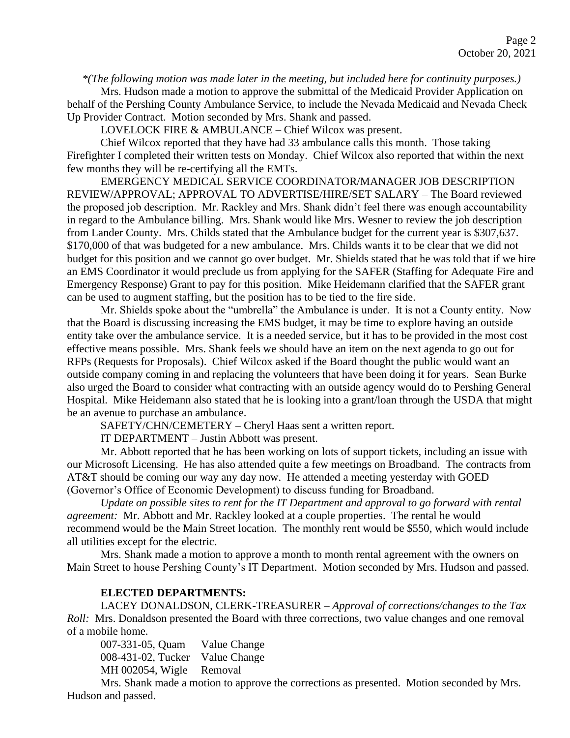*\*(The following motion was made later in the meeting, but included here for continuity purposes.)*

Mrs. Hudson made a motion to approve the submittal of the Medicaid Provider Application on behalf of the Pershing County Ambulance Service, to include the Nevada Medicaid and Nevada Check Up Provider Contract. Motion seconded by Mrs. Shank and passed.

LOVELOCK FIRE & AMBULANCE – Chief Wilcox was present.

Chief Wilcox reported that they have had 33 ambulance calls this month. Those taking Firefighter I completed their written tests on Monday. Chief Wilcox also reported that within the next few months they will be re-certifying all the EMTs.

EMERGENCY MEDICAL SERVICE COORDINATOR/MANAGER JOB DESCRIPTION REVIEW/APPROVAL; APPROVAL TO ADVERTISE/HIRE/SET SALARY – The Board reviewed the proposed job description. Mr. Rackley and Mrs. Shank didn't feel there was enough accountability in regard to the Ambulance billing. Mrs. Shank would like Mrs. Wesner to review the job description from Lander County. Mrs. Childs stated that the Ambulance budget for the current year is \$307,637. \$170,000 of that was budgeted for a new ambulance. Mrs. Childs wants it to be clear that we did not budget for this position and we cannot go over budget. Mr. Shields stated that he was told that if we hire an EMS Coordinator it would preclude us from applying for the SAFER (Staffing for Adequate Fire and Emergency Response) Grant to pay for this position. Mike Heidemann clarified that the SAFER grant can be used to augment staffing, but the position has to be tied to the fire side.

Mr. Shields spoke about the "umbrella" the Ambulance is under. It is not a County entity. Now that the Board is discussing increasing the EMS budget, it may be time to explore having an outside entity take over the ambulance service. It is a needed service, but it has to be provided in the most cost effective means possible. Mrs. Shank feels we should have an item on the next agenda to go out for RFPs (Requests for Proposals). Chief Wilcox asked if the Board thought the public would want an outside company coming in and replacing the volunteers that have been doing it for years. Sean Burke also urged the Board to consider what contracting with an outside agency would do to Pershing General Hospital. Mike Heidemann also stated that he is looking into a grant/loan through the USDA that might be an avenue to purchase an ambulance.

SAFETY/CHN/CEMETERY – Cheryl Haas sent a written report.

IT DEPARTMENT – Justin Abbott was present.

Mr. Abbott reported that he has been working on lots of support tickets, including an issue with our Microsoft Licensing. He has also attended quite a few meetings on Broadband. The contracts from AT&T should be coming our way any day now. He attended a meeting yesterday with GOED (Governor's Office of Economic Development) to discuss funding for Broadband.

*Update on possible sites to rent for the IT Department and approval to go forward with rental agreement:* Mr. Abbott and Mr. Rackley looked at a couple properties. The rental he would recommend would be the Main Street location. The monthly rent would be \$550, which would include all utilities except for the electric.

Mrs. Shank made a motion to approve a month to month rental agreement with the owners on Main Street to house Pershing County's IT Department. Motion seconded by Mrs. Hudson and passed.

#### **ELECTED DEPARTMENTS:**

LACEY DONALDSON, CLERK-TREASURER – *Approval of corrections/changes to the Tax Roll:* Mrs. Donaldson presented the Board with three corrections, two value changes and one removal of a mobile home.

007-331-05, Quam Value Change 008-431-02, Tucker Value Change MH 002054, Wigle Removal

Mrs. Shank made a motion to approve the corrections as presented. Motion seconded by Mrs. Hudson and passed.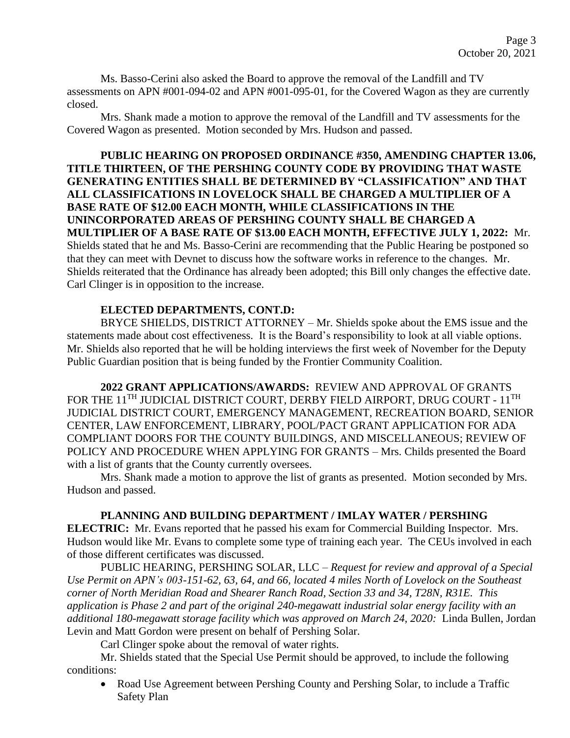Ms. Basso-Cerini also asked the Board to approve the removal of the Landfill and TV assessments on APN #001-094-02 and APN #001-095-01, for the Covered Wagon as they are currently closed.

Mrs. Shank made a motion to approve the removal of the Landfill and TV assessments for the Covered Wagon as presented. Motion seconded by Mrs. Hudson and passed.

**PUBLIC HEARING ON PROPOSED ORDINANCE #350, AMENDING CHAPTER 13.06, TITLE THIRTEEN, OF THE PERSHING COUNTY CODE BY PROVIDING THAT WASTE GENERATING ENTITIES SHALL BE DETERMINED BY "CLASSIFICATION" AND THAT ALL CLASSIFICATIONS IN LOVELOCK SHALL BE CHARGED A MULTIPLIER OF A BASE RATE OF \$12.00 EACH MONTH, WHILE CLASSIFICATIONS IN THE UNINCORPORATED AREAS OF PERSHING COUNTY SHALL BE CHARGED A MULTIPLIER OF A BASE RATE OF \$13.00 EACH MONTH, EFFECTIVE JULY 1, 2022:** Mr. Shields stated that he and Ms. Basso-Cerini are recommending that the Public Hearing be postponed so that they can meet with Devnet to discuss how the software works in reference to the changes. Mr. Shields reiterated that the Ordinance has already been adopted; this Bill only changes the effective date. Carl Clinger is in opposition to the increase.

# **ELECTED DEPARTMENTS, CONT.D:**

BRYCE SHIELDS, DISTRICT ATTORNEY – Mr. Shields spoke about the EMS issue and the statements made about cost effectiveness. It is the Board's responsibility to look at all viable options. Mr. Shields also reported that he will be holding interviews the first week of November for the Deputy Public Guardian position that is being funded by the Frontier Community Coalition.

**2022 GRANT APPLICATIONS/AWARDS:** REVIEW AND APPROVAL OF GRANTS FOR THE 11<sup>TH</sup> JUDICIAL DISTRICT COURT, DERBY FIELD AIRPORT, DRUG COURT - 11<sup>TH</sup> JUDICIAL DISTRICT COURT, EMERGENCY MANAGEMENT, RECREATION BOARD, SENIOR CENTER, LAW ENFORCEMENT, LIBRARY, POOL/PACT GRANT APPLICATION FOR ADA COMPLIANT DOORS FOR THE COUNTY BUILDINGS, AND MISCELLANEOUS; REVIEW OF POLICY AND PROCEDURE WHEN APPLYING FOR GRANTS – Mrs. Childs presented the Board with a list of grants that the County currently oversees.

Mrs. Shank made a motion to approve the list of grants as presented. Motion seconded by Mrs. Hudson and passed.

### **PLANNING AND BUILDING DEPARTMENT / IMLAY WATER / PERSHING**

**ELECTRIC:** Mr. Evans reported that he passed his exam for Commercial Building Inspector. Mrs. Hudson would like Mr. Evans to complete some type of training each year. The CEUs involved in each of those different certificates was discussed.

PUBLIC HEARING, PERSHING SOLAR, LLC – *Request for review and approval of a Special Use Permit on APN's 003-151-62, 63, 64, and 66, located 4 miles North of Lovelock on the Southeast corner of North Meridian Road and Shearer Ranch Road, Section 33 and 34, T28N, R31E. This application is Phase 2 and part of the original 240-megawatt industrial solar energy facility with an additional 180-megawatt storage facility which was approved on March 24, 2020:* Linda Bullen, Jordan Levin and Matt Gordon were present on behalf of Pershing Solar.

Carl Clinger spoke about the removal of water rights.

Mr. Shields stated that the Special Use Permit should be approved, to include the following conditions:

• Road Use Agreement between Pershing County and Pershing Solar, to include a Traffic Safety Plan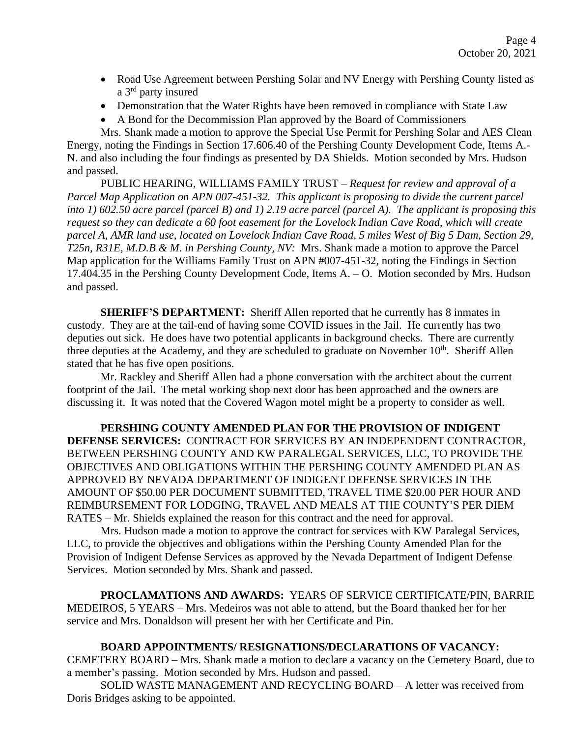- Road Use Agreement between Pershing Solar and NV Energy with Pershing County listed as a 3<sup>rd</sup> party insured
- Demonstration that the Water Rights have been removed in compliance with State Law
- A Bond for the Decommission Plan approved by the Board of Commissioners

Mrs. Shank made a motion to approve the Special Use Permit for Pershing Solar and AES Clean Energy, noting the Findings in Section 17.606.40 of the Pershing County Development Code, Items A.- N. and also including the four findings as presented by DA Shields. Motion seconded by Mrs. Hudson and passed.

PUBLIC HEARING, WILLIAMS FAMILY TRUST – *Request for review and approval of a Parcel Map Application on APN 007-451-32. This applicant is proposing to divide the current parcel into 1) 602.50 acre parcel (parcel B) and 1) 2.19 acre parcel (parcel A). The applicant is proposing this request so they can dedicate a 60 foot easement for the Lovelock Indian Cave Road, which will create parcel A, AMR land use, located on Lovelock Indian Cave Road, 5 miles West of Big 5 Dam, Section 29, T25n, R31E, M.D.B & M. in Pershing County, NV:* Mrs. Shank made a motion to approve the Parcel Map application for the Williams Family Trust on APN #007-451-32, noting the Findings in Section 17.404.35 in the Pershing County Development Code, Items A. – O. Motion seconded by Mrs. Hudson and passed.

**SHERIFF'S DEPARTMENT:** Sheriff Allen reported that he currently has 8 inmates in custody. They are at the tail-end of having some COVID issues in the Jail. He currently has two deputies out sick. He does have two potential applicants in background checks. There are currently three deputies at the Academy, and they are scheduled to graduate on November 10<sup>th</sup>. Sheriff Allen stated that he has five open positions.

Mr. Rackley and Sheriff Allen had a phone conversation with the architect about the current footprint of the Jail. The metal working shop next door has been approached and the owners are discussing it. It was noted that the Covered Wagon motel might be a property to consider as well.

**PERSHING COUNTY AMENDED PLAN FOR THE PROVISION OF INDIGENT DEFENSE SERVICES:** CONTRACT FOR SERVICES BY AN INDEPENDENT CONTRACTOR, BETWEEN PERSHING COUNTY AND KW PARALEGAL SERVICES, LLC, TO PROVIDE THE OBJECTIVES AND OBLIGATIONS WITHIN THE PERSHING COUNTY AMENDED PLAN AS APPROVED BY NEVADA DEPARTMENT OF INDIGENT DEFENSE SERVICES IN THE AMOUNT OF \$50.00 PER DOCUMENT SUBMITTED, TRAVEL TIME \$20.00 PER HOUR AND REIMBURSEMENT FOR LODGING, TRAVEL AND MEALS AT THE COUNTY'S PER DIEM RATES – Mr. Shields explained the reason for this contract and the need for approval.

Mrs. Hudson made a motion to approve the contract for services with KW Paralegal Services, LLC, to provide the objectives and obligations within the Pershing County Amended Plan for the Provision of Indigent Defense Services as approved by the Nevada Department of Indigent Defense Services. Motion seconded by Mrs. Shank and passed.

**PROCLAMATIONS AND AWARDS:** YEARS OF SERVICE CERTIFICATE/PIN, BARRIE MEDEIROS, 5 YEARS – Mrs. Medeiros was not able to attend, but the Board thanked her for her service and Mrs. Donaldson will present her with her Certificate and Pin.

# **BOARD APPOINTMENTS/ RESIGNATIONS/DECLARATIONS OF VACANCY:**

CEMETERY BOARD – Mrs. Shank made a motion to declare a vacancy on the Cemetery Board, due to a member's passing. Motion seconded by Mrs. Hudson and passed.

SOLID WASTE MANAGEMENT AND RECYCLING BOARD – A letter was received from Doris Bridges asking to be appointed.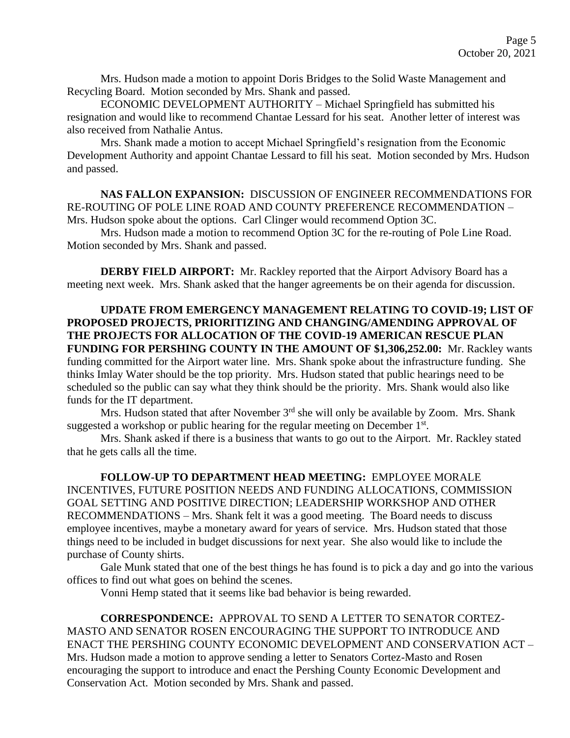Mrs. Hudson made a motion to appoint Doris Bridges to the Solid Waste Management and Recycling Board. Motion seconded by Mrs. Shank and passed.

ECONOMIC DEVELOPMENT AUTHORITY – Michael Springfield has submitted his resignation and would like to recommend Chantae Lessard for his seat. Another letter of interest was also received from Nathalie Antus.

Mrs. Shank made a motion to accept Michael Springfield's resignation from the Economic Development Authority and appoint Chantae Lessard to fill his seat. Motion seconded by Mrs. Hudson and passed.

**NAS FALLON EXPANSION:** DISCUSSION OF ENGINEER RECOMMENDATIONS FOR RE-ROUTING OF POLE LINE ROAD AND COUNTY PREFERENCE RECOMMENDATION – Mrs. Hudson spoke about the options. Carl Clinger would recommend Option 3C.

Mrs. Hudson made a motion to recommend Option 3C for the re-routing of Pole Line Road. Motion seconded by Mrs. Shank and passed.

**DERBY FIELD AIRPORT:** Mr. Rackley reported that the Airport Advisory Board has a meeting next week. Mrs. Shank asked that the hanger agreements be on their agenda for discussion.

**UPDATE FROM EMERGENCY MANAGEMENT RELATING TO COVID-19; LIST OF PROPOSED PROJECTS, PRIORITIZING AND CHANGING/AMENDING APPROVAL OF THE PROJECTS FOR ALLOCATION OF THE COVID-19 AMERICAN RESCUE PLAN FUNDING FOR PERSHING COUNTY IN THE AMOUNT OF \$1,306,252.00:** Mr. Rackley wants funding committed for the Airport water line. Mrs. Shank spoke about the infrastructure funding. She thinks Imlay Water should be the top priority. Mrs. Hudson stated that public hearings need to be scheduled so the public can say what they think should be the priority. Mrs. Shank would also like funds for the IT department.

Mrs. Hudson stated that after November  $3<sup>rd</sup>$  she will only be available by Zoom. Mrs. Shank suggested a workshop or public hearing for the regular meeting on December  $1<sup>st</sup>$ .

Mrs. Shank asked if there is a business that wants to go out to the Airport. Mr. Rackley stated that he gets calls all the time.

**FOLLOW-UP TO DEPARTMENT HEAD MEETING:** EMPLOYEE MORALE INCENTIVES, FUTURE POSITION NEEDS AND FUNDING ALLOCATIONS, COMMISSION GOAL SETTING AND POSITIVE DIRECTION; LEADERSHIP WORKSHOP AND OTHER RECOMMENDATIONS – Mrs. Shank felt it was a good meeting. The Board needs to discuss employee incentives, maybe a monetary award for years of service. Mrs. Hudson stated that those things need to be included in budget discussions for next year. She also would like to include the purchase of County shirts.

Gale Munk stated that one of the best things he has found is to pick a day and go into the various offices to find out what goes on behind the scenes.

Vonni Hemp stated that it seems like bad behavior is being rewarded.

**CORRESPONDENCE:** APPROVAL TO SEND A LETTER TO SENATOR CORTEZ-MASTO AND SENATOR ROSEN ENCOURAGING THE SUPPORT TO INTRODUCE AND ENACT THE PERSHING COUNTY ECONOMIC DEVELOPMENT AND CONSERVATION ACT – Mrs. Hudson made a motion to approve sending a letter to Senators Cortez-Masto and Rosen encouraging the support to introduce and enact the Pershing County Economic Development and Conservation Act. Motion seconded by Mrs. Shank and passed.